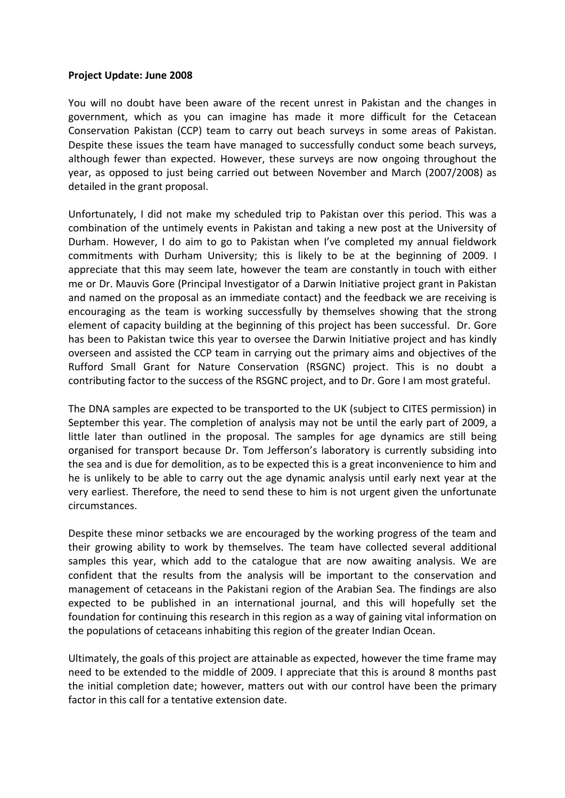## **Project Update: June 2008**

You will no doubt have been aware of the recent unrest in Pakistan and the changes in government, which as you can imagine has made it more difficult for the Cetacean Conservation Pakistan (CCP) team to carry out beach surveys in some areas of Pakistan. Despite these issues the team have managed to successfully conduct some beach surveys, although fewer than expected. However, these surveys are now ongoing throughout the year, as opposed to just being carried out between November and March (2007/2008) as detailed in the grant proposal.

Unfortunately, I did not make my scheduled trip to Pakistan over this period. This was a combination of the untimely events in Pakistan and taking a new post at the University of Durham. However, I do aim to go to Pakistan when I've completed my annual fieldwork commitments with Durham University; this is likely to be at the beginning of 2009. I appreciate that this may seem late, however the team are constantly in touch with either me or Dr. Mauvis Gore (Principal Investigator of a Darwin Initiative project grant in Pakistan and named on the proposal as an immediate contact) and the feedback we are receiving is encouraging as the team is working successfully by themselves showing that the strong element of capacity building at the beginning of this project has been successful. Dr. Gore has been to Pakistan twice this year to oversee the Darwin Initiative project and has kindly overseen and assisted the CCP team in carrying out the primary aims and objectives of the Rufford Small Grant for Nature Conservation (RSGNC) project. This is no doubt a contributing factor to the success of the RSGNC project, and to Dr. Gore I am most grateful.

The DNA samples are expected to be transported to the UK (subject to CITES permission) in September this year. The completion of analysis may not be until the early part of 2009, a little later than outlined in the proposal. The samples for age dynamics are still being organised for transport because Dr. Tom Jefferson's laboratory is currently subsiding into the sea and is due for demolition, as to be expected this is a great inconvenience to him and he is unlikely to be able to carry out the age dynamic analysis until early next year at the very earliest. Therefore, the need to send these to him is not urgent given the unfortunate circumstances.

Despite these minor setbacks we are encouraged by the working progress of the team and their growing ability to work by themselves. The team have collected several additional samples this year, which add to the catalogue that are now awaiting analysis. We are confident that the results from the analysis will be important to the conservation and management of cetaceans in the Pakistani region of the Arabian Sea. The findings are also expected to be published in an international journal, and this will hopefully set the foundation for continuing this research in this region as a way of gaining vital information on the populations of cetaceans inhabiting this region of the greater Indian Ocean.

Ultimately, the goals of this project are attainable as expected, however the time frame may need to be extended to the middle of 2009. I appreciate that this is around 8 months past the initial completion date; however, matters out with our control have been the primary factor in this call for a tentative extension date.